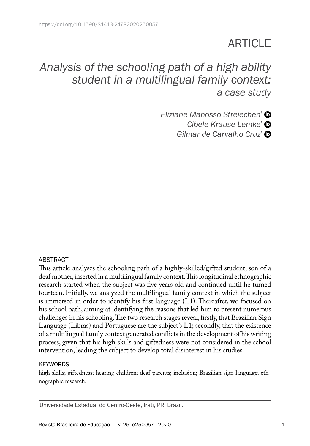# **ARTICLE**

# *Analysis of the schooling path of a high ability student in a multilingual family context: a case study*

*Eliziane Manosso StreiechenI Cibele Krause-LemkeI Gilmar de Carvalho CruzI* 

#### ABSTRACT

This article analyses the schooling path of a highly-skilled/gifted student, son of a deaf mother, inserted in a multilingual family context. This longitudinal ethnographic research started when the subject was five years old and continued until he turned fourteen. Initially, we analyzed the multilingual family context in which the subject is immersed in order to identify his first language (L1). Thereafter, we focused on his school path, aiming at identifying the reasons that led him to present numerous challenges in his schooling. The two research stages reveal, firstly, that Brazilian Sign Language (Libras) and Portuguese are the subject's L1; secondly, that the existence of a multilingual family context generated conflicts in the development of his writing process, given that his high skills and giftedness were not considered in the school intervention, leading the subject to develop total disinterest in his studies.

#### **KEYWORDS**

high skills; giftedness; hearing children; deaf parents; inclusion; Brazilian sign language; ethnographic research.

I Universidade Estadual do Centro-Oeste, Irati, PR, Brazil.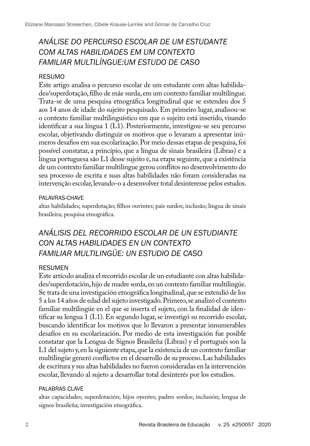# *ANÁLISE DO PERCURSO ESCOLAR DE UM ESTUDANTE COM ALTAS HABILIDADES EM UM CONTEXTO FAMILIAR MULTILÍNGUE:UM ESTUDO DE CASO*

#### RESUMO

Este artigo analisa o percurso escolar de um estudante com altas habilidades/superdotação, filho de mãe surda, em um contexto familiar multilíngue. Trata-se de uma pesquisa etnográfica longitudinal que se estendeu dos 5 aos 14 anos de idade do sujeito pesquisado. Em primeiro lugar, analisou-se o contexto familiar multilinguístico em que o sujeito está inserido, visando identificar a sua língua 1 (L1). Posteriormente, investigou-se seu percurso escolar, objetivando distinguir os motivos que o levaram a apresentar inúmeros desafios em sua escolarização. Por meio dessas etapas de pesquisa, foi possível constatar, a princípio, que a língua de sinais brasileira (Libras) e a língua portuguesa são L1 desse sujeito e, na etapa seguinte, que a existência de um contexto familiar multilíngue gerou conflitos no desenvolvimento do seu processo de escrita e suas altas habilidades não foram consideradas na intervenção escolar, levando-o a desenvolver total desinteresse pelos estudos.

#### PALAVRAS-CHAVE

altas habilidades; superdotação; filhos ouvintes; pais surdos; inclusão; língua de sinais brasileira; pesquisa etnográfica.

## *ANÁLISIS DEL RECORRIDO ESCOLAR DE UN ESTUDIANTE CON ALTAS HABILIDADES EN UN CONTEXTO FAMILIAR MULTILINGÜE: UN ESTUDIO DE CASO*

#### RESUMEN

Este artículo analiza el recorrido escolar de un estudiante con altas habilidades/superdotación, hijo de madre sorda, en un contexto familiar multilingüe. Se trata de una investigación etnográfica longitudinal, que se extendió de los 5 a los 14 años de edad del sujeto investigado. Primero, se analizó el contexto familiar multilingüe en el que se inserta el sujeto, con la finalidad de identificar su lengua 1 (L1). En segundo lugar, se investigó su recorrido escolar, buscando identificar los motivos que lo llevaron a presentar innumerables desafíos en su escolarización. Por medio de esta investigación fue posible constatar que la Lengua de Signos Brasileña (Libras) y el portugués son la L1 del sujeto y, en la siguiente etapa, que la existencia de un contexto familiar multilingüe generó conflictos en el desarrollo de su proceso. Las habilidades de escritura y sus altas habilidades no fueron consideradas en la intervención escolar, llevando al sujeto a desarrollar total desinterés por los estudios.

#### PALABRAS CLAVE

altas capacidades; superdotación; hijos oyentes; padres sordos; inclusión; lengua de signos brasileña; investigación etnográfica.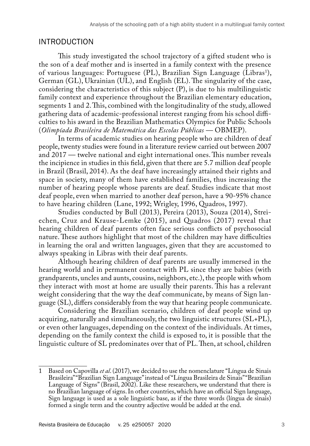#### INTRODUCTION

This study investigated the school trajectory of a gifted student who is the son of a deaf mother and is inserted in a family context with the presence of various languages: Portuguese (PL), Brazilian Sign Language (Libras<sup>1</sup>), German (GL), Ukrainian (UL), and English (EL). The singularity of the case, considering the characteristics of this subject (P), is due to his multilinguistic family context and experience throughout the Brazilian elementary education, segments 1 and 2. This, combined with the longitudinality of the study, allowed gathering data of academic-professional interest ranging from his school difficulties to his award in the Brazilian Mathematics Olympics for Public Schools (*Olimpíada Brasileira de Matemática das Escolas Públicas —* OBMEP).

In terms of academic studies on hearing people who are children of deaf people, twenty studies were found in a literature review carried out between 2007 and 2017 — twelve national and eight international ones. This number reveals the incipience in studies in this field, given that there are 5.7 million deaf people in Brazil (Brasil, 2014). As the deaf have increasingly attained their rights and space in society, many of them have established families, thus increasing the number of hearing people whose parents are deaf. Studies indicate that most deaf people, even when married to another deaf person, have a 90-95% chance to have hearing children (Lane, 1992; Wrigley, 1996, Quadros, 1997).

Studies conducted by Bull (2013), Pereira (2013), Souza (2014), Streiechen, Cruz and Krause-Lemke (2015), and Quadros (2017) reveal that hearing children of deaf parents often face serious conflicts of psychosocial nature. These authors highlight that most of the children may have difficulties in learning the oral and written languages, given that they are accustomed to always speaking in Libras with their deaf parents.

Although hearing children of deaf parents are usually immersed in the hearing world and in permanent contact with PL since they are babies (with grandparents, uncles and aunts, cousins, neighbors, etc.), the people with whom they interact with most at home are usually their parents. This has a relevant weight considering that the way the deaf communicate, by means of Sign language (SL), differs considerably from the way that hearing people communicate.

Considering the Brazilian scenario, children of deaf people wind up acquiring, naturally and simultaneously, the two linguistic structures (SL+PL), or even other languages, depending on the context of the individuals. At times, depending on the family context the child is exposed to, it is possible that the linguistic culture of SL predominates over that of PL. Then, at school, children

<sup>1</sup> Based on Capovilla *et al*. (2017), we decided to use the nomenclature "Língua de Sinais Brasileira" "Brazilian Sign Language" instead of "Língua Brasileira de Sinais" "Brazilian Language of Signs" (Brasil, 2002). Like these researchers, we understand that there is no Brazilian language of signs. In other countries, which have an official Sign language, Sign language is used as a sole linguistic base, as if the three words (língua de sinais) formed a single term and the country adjective would be added at the end.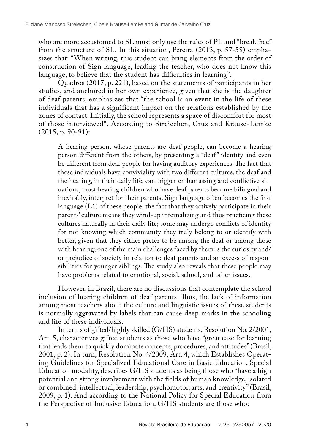who are more accustomed to SL must only use the rules of PL and "break free" from the structure of SL. In this situation, Pereira (2013, p. 57-58) emphasizes that: "When writing, this student can bring elements from the order of construction of Sign language, leading the teacher, who does not know this language, to believe that the student has difficulties in learning".

Quadros (2017, p. 221), based on the statements of participants in her studies, and anchored in her own experience, given that she is the daughter of deaf parents, emphasizes that "the school is an event in the life of these individuals that has a significant impact on the relations established by the zones of contact. Initially, the school represents a space of discomfort for most of those interviewed". According to Streiechen, Cruz and Krause-Lemke  $(2015, p. 90-91):$ 

A hearing person, whose parents are deaf people, can become a hearing person different from the others, by presenting a "deaf" identity and even be different from deaf people for having auditory experiences. The fact that these individuals have conviviality with two different cultures, the deaf and the hearing, in their daily life, can trigger embarrassing and conflictive situations; most hearing children who have deaf parents become bilingual and inevitably, interpret for their parents; Sign language often becomes the first language (L1) of these people; the fact that they actively participate in their parents' culture means they wind-up internalizing and thus practicing these cultures naturally in their daily life; some may undergo conflicts of identity for not knowing which community they truly belong to or identify with better, given that they either prefer to be among the deaf or among those with hearing; one of the main challenges faced by them is the curiosity and/ or prejudice of society in relation to deaf parents and an excess of responsibilities for younger siblings. The study also reveals that these people may have problems related to emotional, social, school, and other issues.

However, in Brazil, there are no discussions that contemplate the school inclusion of hearing children of deaf parents. Thus, the lack of information among most teachers about the culture and linguistic issues of these students is normally aggravated by labels that can cause deep marks in the schooling and life of these individuals.

In terms of gifted/highly skilled (G/HS) students, Resolution No. 2/2001, Art. 5, characterizes gifted students as those who have "great ease for learning that leads them to quickly dominate concepts, procedures, and attitudes" (Brasil, 2001, p. 2). In turn, Resolution No. 4/2009, Art. 4, which Establishes Operating Guidelines for Specialized Educational Care in Basic Education, Special Education modality, describes G/HS students as being those who "have a high potential and strong involvement with the fields of human knowledge, isolated or combined: intellectual, leadership, psychomotor, arts, and creativity" (Brasil, 2009, p. 1). And according to the National Policy for Special Education from the Perspective of Inclusive Education, G/HS students are those who: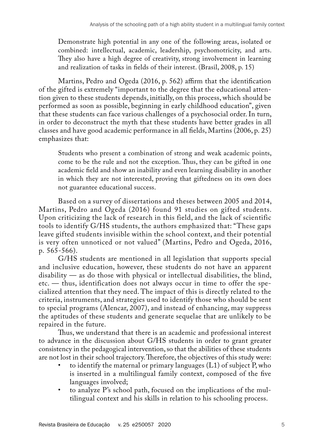Demonstrate high potential in any one of the following areas, isolated or combined: intellectual, academic, leadership, psychomotricity, and arts. They also have a high degree of creativity, strong involvement in learning and realization of tasks in fields of their interest. (Brasil, 2008, p. 15)

Martins, Pedro and Ogeda (2016, p. 562) affirm that the identification of the gifted is extremely "important to the degree that the educational attention given to these students depends, initially, on this process, which should be performed as soon as possible, beginning in early childhood education", given that these students can face various challenges of a psychosocial order. In turn, in order to deconstruct the myth that these students have better grades in all classes and have good academic performance in all fields, Martins (2006, p. 25) emphasizes that:

Students who present a combination of strong and weak academic points, come to be the rule and not the exception. Thus, they can be gifted in one academic field and show an inability and even learning disability in another in which they are not interested, proving that giftedness on its own does not guarantee educational success.

Based on a survey of dissertations and theses between 2005 and 2014, Martins, Pedro and Ogeda (2016) found 91 studies on gifted students. Upon criticizing the lack of research in this field, and the lack of scientific tools to identify G/HS students, the authors emphasized that: "These gaps leave gifted students invisible within the school context, and their potential is very often unnoticed or not valued" (Martins, Pedro and Ogeda, 2016, p. 565-566).

G/HS students are mentioned in all legislation that supports special and inclusive education, however, these students do not have an apparent disability — as do those with physical or intellectual disabilities, the blind, etc. — thus, identification does not always occur in time to offer the specialized attention that they need. The impact of this is directly related to the criteria, instruments, and strategies used to identify those who should be sent to special programs (Alencar, 2007), and instead of enhancing, may suppress the aptitudes of these students and generate sequelae that are unlikely to be repaired in the future.

Thus, we understand that there is an academic and professional interest to advance in the discussion about G/HS students in order to grant greater consistency in the pedagogical intervention, so that the abilities of these students are not lost in their school trajectory. Therefore, the objectives of this study were:

- to identify the maternal or primary languages  $(L1)$  of subject P, who is inserted in a multilingual family context, composed of the five languages involved;
- to analyze P's school path, focused on the implications of the multilingual context and his skills in relation to his schooling process.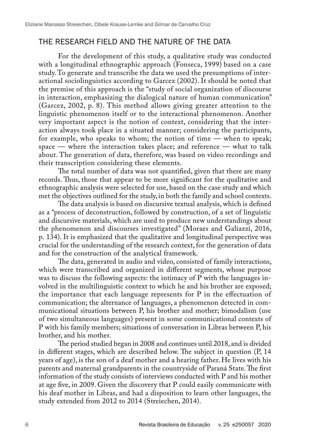### THE RESEARCH FIELD AND THE NATURE OF THE DATA

For the development of this study, a qualitative study was conducted with a longitudinal ethnographic approach (Fonseca, 1999) based on a case study. To generate and transcribe the data we used the presumptions of interactional sociolinguistics according to Garcez (2002). It should be noted that the premise of this approach is the "study of social organization of discourse in interaction, emphasizing the dialogical nature of human communication" (Garcez, 2002, p. 8). This method allows giving greater attention to the linguistic phenomenon itself or to the interactional phenomenon. Another very important aspect is the notion of context, considering that the interaction always took place in a situated manner; considering the participants, for example, who speaks to whom; the notion of time — when to speak; space — where the interaction takes place; and reference — what to talk about. The generation of data, therefore, was based on video recordings and their transcription considering these elements.

The total number of data was not quantified, given that there are many records. Thus, those that appear to be more significant for the qualitative and ethnographic analysis were selected for use, based on the case study and which met the objectives outlined for the study, in both the family and school contexts.

The data analysis is based on discursive textual analysis, which is defined as a "process of deconstruction, followed by construction, of a set of linguistic and discursive materials, which are used to produce new understandings about the phenomenon and discourses investigated" (Moraes and Galiazzi, 2016, p. 134). It is emphasized that the qualitative and longitudinal perspective was crucial for the understanding of the research context, for the generation of data and for the construction of the analytical framework.

The data, generated in audio and video, consisted of family interactions, which were transcribed and organized in different segments, whose purpose was to discuss the following aspects: the intimacy of P with the languages involved in the multilinguistic context to which he and his brother are exposed; the importance that each language represents for P in the effectuation of communication; the alternance of languages, a phenomenon detected in communicational situations between P, his brother and mother; bimodalism (use of two simultaneous languages) present in some communicational contexts of P with his family members; situations of conversation in Libras between P, his brother, and his mother.

The period studied began in 2008 and continues until 2018, and is divided in different stages, which are described below. The subject in question (P, 14 years of age), is the son of a deaf mother and a hearing father. He lives with his parents and maternal grandparents in the countryside of Paraná State. The first information of the study consists of interviews conducted with P and his mother at age five, in 2009. Given the discovery that P could easily communicate with his deaf mother in Libras, and had a disposition to learn other languages, the study extended from 2012 to 2014 (Streiechen, 2014).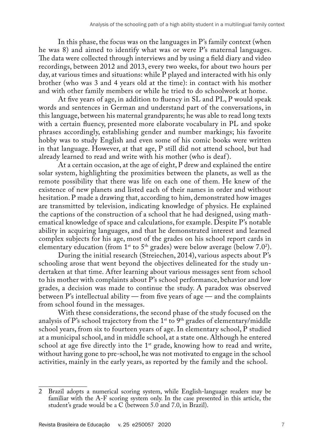In this phase, the focus was on the languages in P's family context (when he was 8) and aimed to identify what was or were P's maternal languages. The data were collected through interviews and by using a field diary and video recordings, between 2012 and 2013, every two weeks, for about two hours per day, at various times and situations: while P played and interacted with his only brother (who was 3 and 4 years old at the time): in contact with his mother and with other family members or while he tried to do schoolwork at home.

At five years of age, in addition to fluency in SL and PL, P would speak words and sentences in German and understand part of the conversations, in this language, between his maternal grandparents; he was able to read long texts with a certain fluency, presented more elaborate vocabulary in PL and spoke phrases accordingly, establishing gender and number markings; his favorite hobby was to study English and even some of his comic books were written in that language. However, at that age, P still did not attend school, but had already learned to read and write with his mother (who is deaf ).

At a certain occasion, at the age of eight, P drew and explained the entire solar system, highlighting the proximities between the planets, as well as the remote possibility that there was life on each one of them. He knew of the existence of new planets and listed each of their names in order and without hesitation. P made a drawing that, according to him, demonstrated how images are transmitted by television, indicating knowledge of physics. He explained the captions of the construction of a school that he had designed, using mathematical knowledge of space and calculations, for example. Despite P's notable ability in acquiring languages, and that he demonstrated interest and learned complex subjects for his age, most of the grades on his school report cards in elementary education (from  $1^{\text{st}}$  to  $5^{\text{th}}$  grades) were below average (below 7.0<sup>2</sup>).

During the initial research (Streiechen, 2014), various aspects about P's schooling arose that went beyond the objectives delineated for the study undertaken at that time. After learning about various messages sent from school to his mother with complaints about P's school performance, behavior and low grades, a decision was made to continue the study. A paradox was observed between P's intellectual ability — from five years of age — and the complaints from school found in the messages.

With these considerations, the second phase of the study focused on the analysis of P's school trajectory from the  $1^{st}$  to  $9^{th}$  grades of elementary/middle school years, from six to fourteen years of age. In elementary school, P studied at a municipal school, and in middle school, at a state one. Although he entered school at age five directly into the  $1<sup>st</sup>$  grade, knowing how to read and write, without having gone to pre-school, he was not motivated to engage in the school activities, mainly in the early years, as reported by the family and the school.

<sup>2</sup> Brazil adopts a numerical scoring system, while English-language readers may be familiar with the A-F scoring system only. In the case presented in this article, the student's grade would be a C (between 5.0 and 7.0, in Brazil).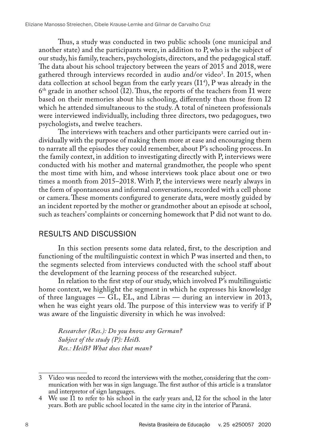Thus, a study was conducted in two public schools (one municipal and another state) and the participants were, in addition to P, who is the subject of our study, his family, teachers, psychologists, directors, and the pedagogical staff. The data about his school trajectory between the years of 2015 and 2018, were gathered through interviews recorded in audio and/or video<sup>3</sup>. In 2015, when data collection at school began from the early years (I14 ), P was already in the  $6<sup>th</sup>$  grade in another school (I2). Thus, the reports of the teachers from I1 were based on their memories about his schooling, differently than those from I2 which he attended simultaneous to the study. A total of nineteen professionals were interviewed individually, including three directors, two pedagogues, two psychologists, and twelve teachers.

The interviews with teachers and other participants were carried out individually with the purpose of making them more at ease and encouraging them to narrate all the episodes they could remember, about P's schooling process. In the family context, in addition to investigating directly with P, interviews were conducted with his mother and maternal grandmother, the people who spent the most time with him, and whose interviews took place about one or two times a month from 2015–2018. With P, the interviews were nearly always in the form of spontaneous and informal conversations, recorded with a cell phone or camera. These moments configured to generate data, were mostly guided by an incident reported by the mother or grandmother about an episode at school, such as teachers' complaints or concerning homework that P did not want to do.

#### RESULTS AND DISCUSSION

In this section presents some data related, first, to the description and functioning of the multilinguistic context in which P was inserted and then, to the segments selected from interviews conducted with the school staff about the development of the learning process of the researched subject.

In relation to the first step of our study, which involved P's multilinguistic home context, we highlight the segment in which he expresses his knowledge of three languages — GL, EL, and Libras — during an interview in 2013, when he was eight years old. The purpose of this interview was to verify if P was aware of the linguistic diversity in which he was involved:

*Researcher (Res.): Do you know any German? Subject of the study (P): Heiß. Res.: Heiẞ? What does that mean?*

<sup>3</sup> Video was needed to record the interviews with the mother, considering that the communication with her was in sign language. The first author of this article is a translator and interpretor of sign languages.

<sup>4</sup> We use I1 to refer to his school in the early years and, I2 for the school in the later years. Both are public school located in the same city in the interior of Paraná.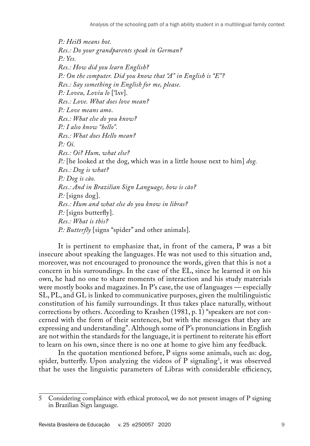*P.: Heiẞ means hot. Res.: Do your grandparents speak in German? P.: Yes. Res.: How did you learn English? P.: On the computer. Did you know that "A" in English is "E"? Res.: Say something in English for me, please. P.: Loveu, Loviu lo* ['lʌv]. *Res.: Love. What does love mean? P.: Love means amo*. *Res.: What else do you know? P.: I also know "hello". Res.: What does Hello mean? P.: Oi. Res.: Oi? Hum, what else? P.:* [he looked at the dog, which was in a little house next to him] *dog. Res.: Dog is what? P.: Dog is cão. Res.: And in Brazilian Sign Language, how is cão? P.:* [signs dog]. *Res.: Hum and what else do you know in libras? P.*: [signs butterfly]. *Res.: What is this? P.: Butterfly* [signs "spider" and other animals].

It is pertinent to emphasize that, in front of the camera, P was a bit insecure about speaking the languages. He was not used to this situation and, moreover, was not encouraged to pronounce the words, given that this is not a concern in his surroundings. In the case of the EL, since he learned it on his own, he had no one to share moments of interaction and his study materials were mostly books and magazines. In P's case, the use of languages — especially SL, PL, and GL is linked to communicative purposes, given the multilinguistic constitution of his family surroundings. It thus takes place naturally, without corrections by others. According to Krashen (1981, p. 1) "speakers are not concerned with the form of their sentences, but with the messages that they are expressing and understanding". Although some of P's pronunciations in English are not within the standards for the language, it is pertinent to reiterate his effort to learn on his own, since there is no one at home to give him any feedback.

In the quotation mentioned before, P signs some animals, such as: dog, spider, butterfly. Upon analyzing the videos of P signaling<sup>5</sup>, it was observed that he uses the linguistic parameters of Libras with considerable efficiency,

<sup>5</sup> Considering complaince with ethical protocol, we do not present images of P signing in Brazilian Sign language.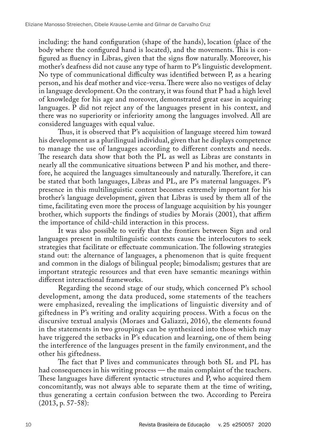including: the hand configuration (shape of the hands), location (place of the body where the configured hand is located), and the movements. This is configured as fluency in Libras, given that the signs flow naturally. Moreover, his mother's deafness did not cause any type of harm to P's linguistic development. No type of communicational difficulty was identified between P, as a hearing person, and his deaf mother and vice-versa. There were also no vestiges of delay in language development. On the contrary, it was found that P had a high level of knowledge for his age and moreover, demonstrated great ease in acquiring languages.  $\overline{P}$  did not reject any of the languages present in his context, and there was no superiority or inferiority among the languages involved. All are considered languages with equal value.

Thus, it is observed that P's acquisition of language steered him toward his development as a plurilingual individual, given that he displays competence to manage the use of languages according to different contexts and needs. The research data show that both the PL as well as Libras are constants in nearly all the communicative situations between P and his mother, and therefore, he acquired the languages simultaneously and naturally. Therefore, it can be stated that both languages, Libras and PL, are P's maternal languages. P's presence in this multilinguistic context becomes extremely important for his brother's language development, given that Libras is used by them all of the time, facilitating even more the process of language acquisition by his younger brother, which supports the findings of studies by Morais (2001), that affirm the importance of child-child interaction in this process.

It was also possible to verify that the frontiers between Sign and oral languages present in multilinguistic contexts cause the interlocutors to seek strategies that facilitate or effectuate communication. The following strategies stand out: the alternance of languages, a phenomenon that is quite frequent and common in the dialogs of bilingual people; bimodalism; gestures that are important strategic resources and that even have semantic meanings within different interactional frameworks.

Regarding the second stage of our study, which concerned P's school development, among the data produced, some statements of the teachers were emphasized, revealing the implications of linguistic diversity and of giftedness in P's writing and orality acquiring process. With a focus on the discursive textual analysis (Moraes and Galiazzi, 2016), the elements found in the statements in two groupings can be synthesized into those which may have triggered the setbacks in P's education and learning, one of them being the interference of the languages present in the family environment, and the other his giftedness.

The fact that P lives and communicates through both SL and PL has had consequences in his writing process — the main complaint of the teachers. These languages have different syntactic structures and P, who acquired them concomitantly, was not always able to separate them at the time of writing, thus generating a certain confusion between the two. According to Pereira (2013, p. 57-58):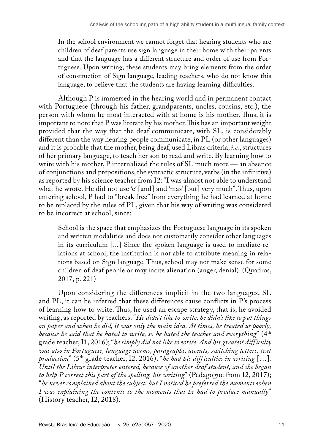In the school environment we cannot forget that hearing students who are children of deaf parents use sign language in their home with their parents and that the language has a different structure and order of use from Portuguese. Upon writing, these students may bring elements from the order of construction of Sign language, leading teachers, who do not know this language, to believe that the students are having learning difficulties.

Although P is immersed in the hearing world and in permanent contact with Portuguese (through his father, grandparents, uncles, cousins, etc.), the person with whom he most interacted with at home is his mother. Thus, it is important to note that P was literate by his mother. This has an important weight provided that the way that the deaf communicate, with SL, is considerably different than the way hearing people communicate, in PL (or other languages) and it is probable that the mother, being deaf, used Libras criteria, *i.e.*, structures of her primary language, to teach her son to read and write. By learning how to write with his mother, P internalized the rules of SL much more — an absence of conjunctions and prepositions, the syntactic structure, verbs (in the infinitive) as reported by his science teacher from I2: "I was almost not able to understand what he wrote. He did not use 'e' [and] and 'mas' [but] very much". Thus, upon entering school, P had to "break free" from everything he had learned at home to be replaced by the rules of PL, given that his way of writing was considered to be incorrect at school, since:

School is the space that emphasizes the Portuguese language in its spoken and written modalities and does not customarily consider other languages in its curriculum [...] Since the spoken language is used to mediate relations at school, the institution is not able to attribute meaning in relations based on Sign language. Thus, school may not make sense for some children of deaf people or may incite alienation (anger, denial). (Quadros, 2017, p. 221)

Upon considering the differences implicit in the two languages, SL and PL, it can be inferred that these differences cause conflicts in P's process of learning how to write. Thus, he used an escape strategy, that is, he avoided writing, as reported by teachers: "*He didn't like to write, he didn't like to put things on paper and when he did, it was only the main idea. At times, he treated us poorly, because he said that he hated to write, so he hated the teacher and everything*" (4th grade teacher, I1, 2016); "*he simply did not like to write. And his greatest difficulty was also in Portuguese, language norms, paragraphs, accents, switching letters, text production*" (5th grade teacher, I2, 2016); "*he had his difficulties in writing* […]*. Until the Libras interpreter entered, because of another deaf student, and she began to help P correct this part of the spelling, his writing*" (Pedagogue from I2, 2017); "*he never complained about the subject, but I noticed he preferred the moments when I was explaining the contents to the moments that he had to produce manually*" (History teacher, I2, 2018).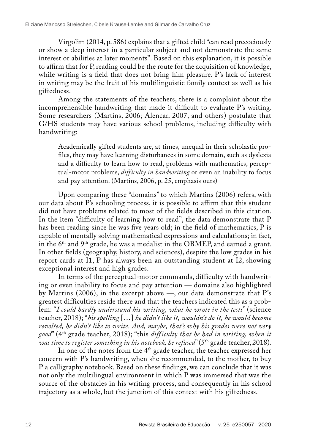Virgolim (2014, p. 586) explains that a gifted child "can read precociously or show a deep interest in a particular subject and not demonstrate the same interest or abilities at later moments". Based on this explanation, it is possible to affirm that for P, reading could be the route for the acquisition of knowledge, while writing is a field that does not bring him pleasure. P's lack of interest in writing may be the fruit of his multilinguistic family context as well as his giftedness.

Among the statements of the teachers, there is a complaint about the incomprehensible handwriting that made it difficult to evaluate P's writing. Some researchers (Martins, 2006; Alencar, 2007, and others) postulate that G/HS students may have various school problems, including difficulty with handwriting:

Academically gifted students are, at times, unequal in their scholastic profiles, they may have learning disturbances in some domain, such as dyslexia and a difficulty to learn how to read, problems with mathematics, perceptual-motor problems, *difficulty in handwriting* or even an inability to focus and pay attention. (Martins, 2006, p. 25, emphasis ours)

Upon comparing these "domains" to which Martins (2006) refers, with our data about P's schooling process, it is possible to affirm that this student did not have problems related to most of the fields described in this citation. In the item "difficulty of learning how to read", the data demonstrate that P has been reading since he was five years old; in the field of mathematics, P is capable of mentally solving mathematical expressions and calculations; in fact, in the 6th and 9th grade, he was a medalist in the OBMEP, and earned a grant. In other fields (geography, history, and sciences), despite the low grades in his report cards at  $\overline{1}1$ ,  $\overline{P}$  has always been an outstanding student at I2, showing exceptional interest and high grades.

In terms of the perceptual-motor commands, difficulty with handwriting or even inability to focus and pay attention — domains also highlighted by Martins (2006), in the excerpt above —, our data demonstrate that P's greatest difficulties reside there and that the teachers indicated this as a problem: "*I could hardly understand his writing, what he wrote in the tests*" (science teacher, 2018); "*his spelling* […] *he didn't like it, wouldn't do it, he would become revolted, he didn't like to write. And, maybe, that's why his grades were not very good*" (4th grade teacher, 2018); "this *diff iculty that he had in writing, when it was time to register something in his notebook, he refused*" (5th grade teacher, 2018).

In one of the notes from the 4<sup>th</sup> grade teacher, the teacher expressed her concern with P's handwriting, when she recommended, to the mother, to buy P a calligraphy notebook. Based on these findings, we can conclude that it was not only the multilingual environment in which P was immersed that was the source of the obstacles in his writing process, and consequently in his school trajectory as a whole, but the junction of this context with his giftedness.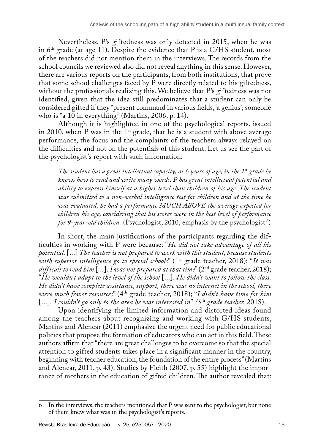Nevertheless, P's giftedness was only detected in 2015, when he was in  $6<sup>th</sup>$  grade (at age 11). Despite the evidence that P is a G/HS student, most of the teachers did not mention them in the interviews. The records from the school councils we reviewed also did not reveal anything in this sense. However, there are various reports on the participants, from both institutions, that prove that some school challenges faced by  $\overline{P}$  were directly related to his giftedness, without the professionals realizing this. We believe that P's giftedness was not identified, given that the idea still predominates that a student can only be considered gifted if they "present command in various fields, 'a genius'; someone who is "a  $10$  in everything" (Martins, 2006, p. 14).

Although it is highlighted in one of the psychological reports, issued in 2010, when P was in the  $1<sup>st</sup>$  grade, that he is a student with above average performance, the focus and the complaints of the teachers always relayed on the difficulties and not on the potentials of this student. Let us see the part of the psychologist's report with such information:

*The student has a great intellectual capacity, at 6 years of age, in the 1*st *grade he knows how to read and write many words. P has great intellectual potential and ability to express himself at a higher level than children of his age. The student*  was submitted to a non-verbal intelligence test for children and at the time he *was evaluated, he had a performance MUCH ABOVE the average expected for children his age, considering that his scores were in the best level of performance for 9-year-old children.* (Psychologist, 2010, emphasis by the psychologist<sup>6</sup>)

In short, the main justifications of the participants regarding the difficulties in working with P were because: "*He did not take advantage of all his potential.* [...] *The teacher is not prepared to work with this student, because students with superior intelligence go to special schools*" (1st grade teacher, 2018); "*It was difficult to read him* [...]. *I was not prepared at that time*" (2nd grade teacher, 2018); "*He wouldn't adapt to the level of the school* [...]. *He didn't want to follow the class. He didn't have complete assistance, support, there was no internet in the school, there were much fewer resources*" (4th grade teacher, 2018); "*I didn't have time for him*  [...]. *I couldn't go only to the area he was interested in*" *(5*th *grade teacher,* 2018).

Upon identifying the limited information and distorted ideas found among the teachers about recognizing and working with G/HS students, Martins and Alencar (2011) emphasize the urgent need for public educational policies that propose the formation of educators who can act in this field. These authors affirm that "there are great challenges to be overcome so that the special attention to gifted students takes place in a significant manner in the country, beginning with teacher education, the foundation of the entire process" (Martins and Alencar, 2011, p. 43). Studies by Fleith (2007, p. 55) highlight the importance of mothers in the education of gifted children. The author revealed that:

<sup>6</sup> In the interviews, the teachers mentioned that P was sent to the psychologist, but none of them knew what was in the psychologist's reports.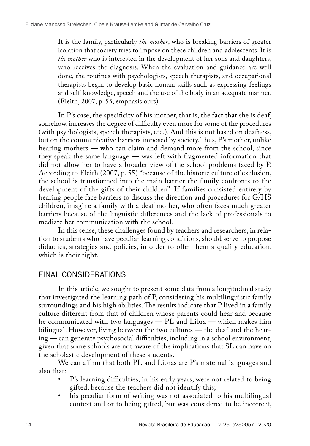It is the family, particularly *the mother*, who is breaking barriers of greater isolation that society tries to impose on these children and adolescents. It is *the mother* who is interested in the development of her sons and daughters, who receives the diagnosis. When the evaluation and guidance are well done, the routines with psychologists, speech therapists, and occupational therapists begin to develop basic human skills such as expressing feelings and self-knowledge, speech and the use of the body in an adequate manner. (Fleith, 2007, p. 55, emphasis ours)

In P's case, the specificity of his mother, that is, the fact that she is deaf, somehow, increases the degree of difficulty even more for some of the procedures (with psychologists, speech therapists, etc.). And this is not based on deafness, but on the communicative barriers imposed by society. Thus, P's mother, unlike hearing mothers — who can claim and demand more from the school, since they speak the same language — was left with fragmented information that did not allow her to have a broader view of the school problems faced by P. According to Fleith (2007, p. 55) "because of the historic culture of exclusion, the school is transformed into the main barrier the family confronts to the development of the gifts of their children". If families consisted entirely by hearing people face barriers to discuss the direction and procedures for G/HS children, imagine a family with a deaf mother, who often faces much greater barriers because of the linguistic differences and the lack of professionals to mediate her communication with the school.

In this sense, these challenges found by teachers and researchers, in relation to students who have peculiar learning conditions, should serve to propose didactics, strategies and policies, in order to offer them a quality education, which is their right.

#### FINAL CONSIDERATIONS

In this article, we sought to present some data from a longitudinal study that investigated the learning path of P, considering his multilinguistic family surroundings and his high abilities. The results indicate that P lived in a family culture different from that of children whose parents could hear and because he communicated with two languages — PL and Libra — which makes him bilingual. However, living between the two cultures — the deaf and the hearing — can generate psychosocial difficulties, including in a school environment, given that some schools are not aware of the implications that SL can have on the scholastic development of these students.

We can affirm that both PL and Libras are P's maternal languages and also that:

- P's learning difficulties, in his early years, were not related to being gifted, because the teachers did not identify this;
- his peculiar form of writing was not associated to his multilingual context and or to being gifted, but was considered to be incorrect,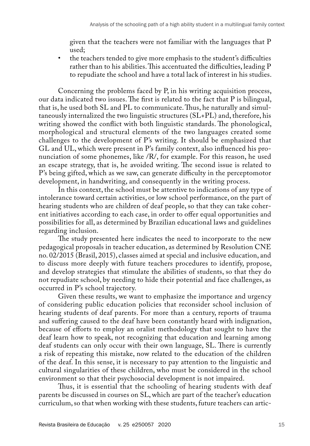given that the teachers were not familiar with the languages that P used;

• the teachers tended to give more emphasis to the student's difficulties rather than to his abilities. This accentuated the difficulties, leading P to repudiate the school and have a total lack of interest in his studies.

Concerning the problems faced by P, in his writing acquisition process, our data indicated two issues. The first is related to the fact that P is bilingual, that is, he used both SL and PL to communicate. Thus, he naturally and simultaneously internalized the two linguistic structures (SL+PL) and, therefore, his writing showed the conflict with both linguistic standards. The phonological, morphological and structural elements of the two languages created some challenges to the development of P's writing. It should be emphasized that GL and UL, which were present in P's family context, also influenced his pronunciation of some phonemes, like /R/, for example. For this reason, he used an escape strategy, that is, he avoided writing. The second issue is related to P's being gifted, which as we saw, can generate difficulty in the perceptomotor development, in handwriting, and consequently in the writing process.

In this context, the school must be attentive to indications of any type of intolerance toward certain activities, or low school performance, on the part of hearing students who are children of deaf people, so that they can take coherent initiatives according to each case, in order to offer equal opportunities and possibilities for all, as determined by Brazilian educational laws and guidelines regarding inclusion.

The study presented here indicates the need to incorporate to the new pedagogical proposals in teacher education, as determined by Resolution CNE no. 02/2015 (Brasil, 2015), classes aimed at special and inclusive education, and to discuss more deeply with future teachers procedures to identify, propose, and develop strategies that stimulate the abilities of students, so that they do not repudiate school, by needing to hide their potential and face challenges, as occurred in P's school trajectory.

Given these results, we want to emphasize the importance and urgency of considering public education policies that reconsider school inclusion of hearing students of deaf parents. For more than a century, reports of trauma and suffering caused to the deaf have been constantly heard with indignation, because of efforts to employ an oralist methodology that sought to have the deaf learn how to speak, not recognizing that education and learning among deaf students can only occur with their own language, SL. There is currently a risk of repeating this mistake, now related to the education of the children of the deaf. In this sense, it is necessary to pay attention to the linguistic and cultural singularities of these children, who must be considered in the school environment so that their psychosocial development is not impaired.

Thus, it is essential that the schooling of hearing students with deaf parents be discussed in courses on SL, which are part of the teacher's education curriculum, so that when working with these students, future teachers can artic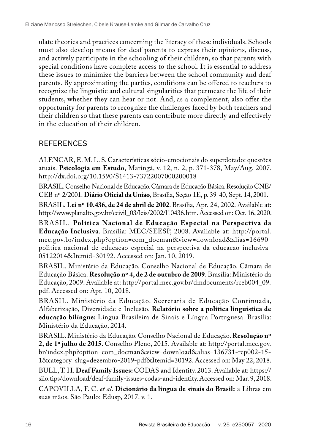ulate theories and practices concerning the literacy of these individuals. Schools must also develop means for deaf parents to express their opinions, discuss, and actively participate in the schooling of their children, so that parents with special conditions have complete access to the school. It is essential to address these issues to minimize the barriers between the school community and deaf parents. By approximating the parties, conditions can be offered to teachers to recognize the linguistic and cultural singularities that permeate the life of their students, whether they can hear or not. And, as a complement, also offer the opportunity for parents to recognize the challenges faced by both teachers and their children so that these parents can contribute more directly and effectively in the education of their children.

### **REFERENCES**

ALENCAR, E. M. L. S. Características sócio-emocionais do superdotado: questões atuais. **Psicologia em Estudo**, Maringá, v. 12, n. 2, p. 371-378, May/Aug. 2007. <http://dx.doi.org/10.1590/S1413-73722007000200018>

BRASIL. Conselho Nacional de Educação. Câmara de Educação Básica. Resolução CNE/ CEB nº 2/2001. **Diário Oficial da União**, Brasília, Seção 1E, p. 39-40, Sept. 14, 2001.

BRASIL. **Lei nº 10.436, de 24 de abril de 2002**. Brasília, Apr. 24, 2002. Available at: [http://www.planalto.gov.br/ccivil\\_03/leis/2002/l10436.htm](http://www.planalto.gov.br/ccivil_03/leis/2002/l10436.htm). Accessed on: Oct. 16, 2020.

BRASIL. **Política Nacional de Educação Especial na Perspectiva da Educação Inclusiva**. Brasília: MEC/SEESP, 2008. Available at: [http://portal.](http://portal.mec.gov.br/index.php?option=com_docman&view=download&alias=16690-politica-nacional-de-educacao-especial-na-perspectiva-da-educacao-inclusiva-05122014&Itemid=30192) [mec.gov.br/index.php?option=com\\_docman&view=download&alias=16690](http://portal.mec.gov.br/index.php?option=com_docman&view=download&alias=16690-politica-nacional-de-educacao-especial-na-perspectiva-da-educacao-inclusiva-05122014&Itemid=30192) [politica-nacional-de-educacao-especial-na-perspectiva-da-educacao-inclusiva-](http://portal.mec.gov.br/index.php?option=com_docman&view=download&alias=16690-politica-nacional-de-educacao-especial-na-perspectiva-da-educacao-inclusiva-05122014&Itemid=30192)[05122014&Itemid=30192](http://portal.mec.gov.br/index.php?option=com_docman&view=download&alias=16690-politica-nacional-de-educacao-especial-na-perspectiva-da-educacao-inclusiva-05122014&Itemid=30192). Accessed on: Jan. 10, 2019.

BRASIL. Ministério da Educação. Conselho Nacional de Educação. Câmara de Educação Básica. **Resolução nº 4, de 2 de outubro de 2009**. Brasília: Ministério da Educação, 2009. Available at: [http://portal.mec.gov.br/dmdocuments/rceb004\\_09.](http://portal.mec.gov.br/dmdocuments/rceb004_09.pdf) [pdf.](http://portal.mec.gov.br/dmdocuments/rceb004_09.pdf) Accessed on: Apr. 10, 2018.

BRASIL. Ministério da Educação. Secretaria de Educação Continuada, Alfabetização, Diversidade e Inclusão. **Relatório sobre a política linguística de educação bilíngue:** Língua Brasileira de Sinais e Língua Portuguesa. Brasília: Ministério da Educação, 2014.

BRASIL. Ministério da Educação. Conselho Nacional de Educação. **Resolução nº 2, de 1º julho de 2015**. Conselho Pleno, 2015. Available at: [http://portal.mec.gov.](http://portal.mec.gov.br/index.php?option=com_docman&view=download&alias=136731-rcp002-15-1&category_slug=dezembro-2019-pdf&Itemid=30192) [br/index.php?option=com\\_docman&view=download&alias=136731-rcp002-15-](http://portal.mec.gov.br/index.php?option=com_docman&view=download&alias=136731-rcp002-15-1&category_slug=dezembro-2019-pdf&Itemid=30192) [1&category\\_slug=dezembro-2019-pdf&Itemid=30192.](http://portal.mec.gov.br/index.php?option=com_docman&view=download&alias=136731-rcp002-15-1&category_slug=dezembro-2019-pdf&Itemid=30192) Accessed on: May 22, 2018.

BULL, T. H. **Deaf Family Issues:** CODAS and Identity. 2013. Available at: [https://](https://silo.tips/download/deaf-family-issues-codas-and-identity) [silo.tips/download/deaf-family-issues-codas-and-identity.](https://silo.tips/download/deaf-family-issues-codas-and-identity) Accessed on: Mar. 9, 2018.

CAPOVILLA, F. C. *et al*. **Dicionário da língua de sinais do Brasil:** a Libras em suas mãos. São Paulo: Edusp, 2017. v. 1.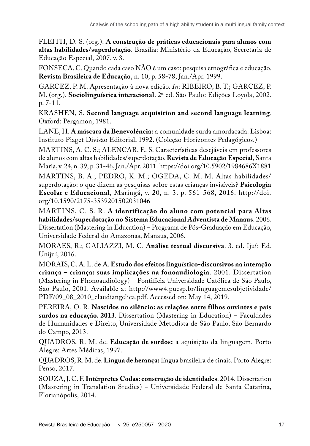FLEITH, D. S. (org.). **A construção de práticas educacionais para alunos com altas habilidades/superdotação**. Brasília: Ministério da Educação, Secretaria de Educação Especial, 2007. v. 3.

FONSECA, C. Quando cada caso NÃO é um caso: pesquisa etnográfica e educação. **Revista Brasileira de Educação**, n. 10, p. 58-78, Jan./Apr. 1999.

GARCEZ, P. M. Apresentação à nova edição. *In*: RIBEIRO, B. T.; GARCEZ, P. M. (org.). **Sociolinguística interacional**. 2ª ed. São Paulo: Edições Loyola, 2002. p. 7-11.

KRASHEN, S. **Second language acquisition and second language learning**. Oxford: Pergamon, 1981.

LANE, H. **A máscara da Benevolência:** a comunidade surda amordaçada. Lisboa: Instituto Piaget Divisão Editorial, 1992. (Coleção Horizontes Pedagógicos.)

MARTINS, A. C. S.; ALENCAR, E. S. Características desejáveis em professores de alunos com altas habilidades/superdotação. **Revista de Educação Especial**, Santa Maria, v. 24, n. 39, p. 31-46, Jan./Apr. 2011.<https://doi.org/10.5902/1984686X1881> MARTINS, B. A.; PEDRO, K. M.; OGEDA, C. M. M. Altas habilidades/ superdotação: o que dizem as pesquisas sobre estas crianças invisíveis? **Psicologia Escolar e Educacional**, Maringá, v. 20, n. 3, p. 561-568, 2016. [http://doi.](http://doi.org/10.1590/2175-3539201502031046) [org/10.1590/2175-3539201502031046](http://doi.org/10.1590/2175-3539201502031046)

MARTINS, C. S. R. **A identificação do aluno com potencial para Altas habilidades/superdotação no Sistema Educacional Adventista de Manaus**. 2006. Dissertation (Mastering in Education) – Programa de Pós-Graduação em Educação, Universidade Federal do Amazonas, Manaus, 2006.

MORAES, R.; GALIAZZI, M. C. **Análise textual discursiva**. 3. ed. Ijuí: Ed. Unijuí, 2016.

MORAIS, C. A. L. de A. **Estudo dos efeitos linguístico-discursivos na interação criança – criança: suas implicações na fonoaudiologia**. 2001. Dissertation (Mastering in Phonoaudiology) – Pontifícia Universidade Católica de São Paulo, São Paulo, 2001. Available at [http://www4.pucsp.br/linguagemesubjetividade/](http://www4.pucsp.br/linguagemesubjetividade/PDF/09_08_2010_claudiangelica.pdf) [PDF/09\\_08\\_2010\\_claudiangelica.pdf](http://www4.pucsp.br/linguagemesubjetividade/PDF/09_08_2010_claudiangelica.pdf). Accessed on: May 14, 2019.

PEREIRA, O. R. **Nascidos no silêncio: as relações entre filhos ouvintes e pais surdos na educação. 2013**. Dissertation (Mastering in Education) – Faculdades de Humanidades e Direito, Universidade Metodista de São Paulo, São Bernardo do Campo, 2013.

QUADROS, R. M. de. **Educação de surdos:** a aquisição da linguagem. Porto Alegre: Artes Médicas, 1997.

QUADROS, R. M. de. **Língua de herança:** língua brasileira de sinais. Porto Alegre: Penso, 2017.

SOUZA, J. C. F. **Intérpretes Codas: construção de identidades**. 2014. Dissertation (Mastering in Translation Studies) − Universidade Federal de Santa Catarina, Florianópolis, 2014.